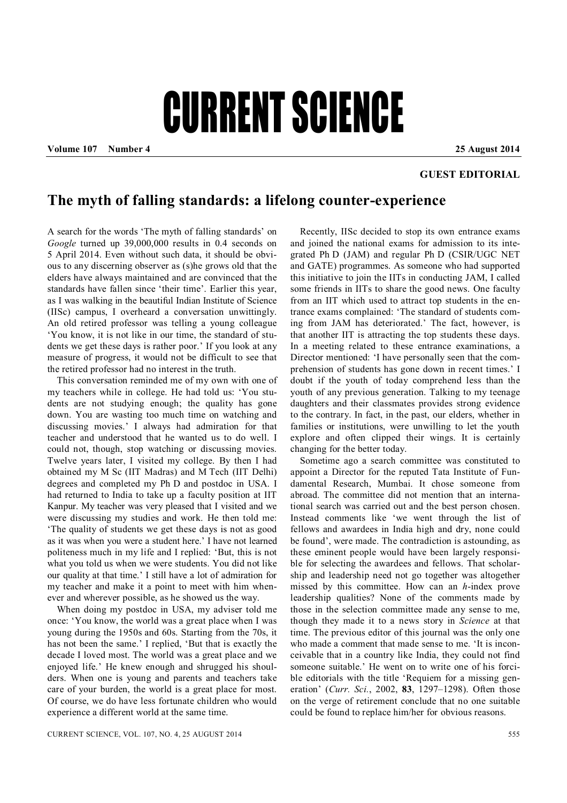## CURRENT SCIENCE

**Volume 107 Number 4 25 August 2014**

## **GUEST EDITORIAL**

## **The myth of falling standards: a lifelong counter-experience**

A search for the words 'The myth of falling standards' on *Google* turned up 39,000,000 results in 0.4 seconds on 5 April 2014. Even without such data, it should be obvious to any discerning observer as (s)he grows old that the elders have always maintained and are convinced that the standards have fallen since 'their time'. Earlier this year, as I was walking in the beautiful Indian Institute of Science (IISc) campus, I overheard a conversation unwittingly. An old retired professor was telling a young colleague 'You know, it is not like in our time, the standard of students we get these days is rather poor.' If you look at any measure of progress, it would not be difficult to see that the retired professor had no interest in the truth.

This conversation reminded me of my own with one of my teachers while in college. He had told us: 'You students are not studying enough; the quality has gone down. You are wasting too much time on watching and discussing movies.' I always had admiration for that teacher and understood that he wanted us to do well. I could not, though, stop watching or discussing movies. Twelve years later, I visited my college. By then I had obtained my M Sc (IIT Madras) and M Tech (IIT Delhi) degrees and completed my Ph D and postdoc in USA. I had returned to India to take up a faculty position at IIT Kanpur. My teacher was very pleased that I visited and we were discussing my studies and work. He then told me: 'The quality of students we get these days is not as good as it was when you were a student here.' I have not learned politeness much in my life and I replied: 'But, this is not what you told us when we were students. You did not like our quality at that time.' I still have a lot of admiration for my teacher and make it a point to meet with him whenever and wherever possible, as he showed us the way.

When doing my postdoc in USA, my adviser told me once: 'You know, the world was a great place when I was young during the 1950s and 60s. Starting from the 70s, it has not been the same.' I replied, 'But that is exactly the decade I loved most. The world was a great place and we enjoyed life.' He knew enough and shrugged his shoulders. When one is young and parents and teachers take care of your burden, the world is a great place for most. Of course, we do have less fortunate children who would experience a different world at the same time.

Recently, IISc decided to stop its own entrance exams and joined the national exams for admission to its integrated Ph D (JAM) and regular Ph D (CSIR/UGC NET and GATE) programmes. As someone who had supported this initiative to join the IITs in conducting JAM, I called some friends in IITs to share the good news. One faculty from an IIT which used to attract top students in the entrance exams complained: 'The standard of students coming from JAM has deteriorated.' The fact, however, is that another IIT is attracting the top students these days. In a meeting related to these entrance examinations, a Director mentioned: 'I have personally seen that the comprehension of students has gone down in recent times.' I doubt if the youth of today comprehend less than the youth of any previous generation. Talking to my teenage daughters and their classmates provides strong evidence to the contrary. In fact, in the past, our elders, whether in families or institutions, were unwilling to let the youth explore and often clipped their wings. It is certainly changing for the better today.

Sometime ago a search committee was constituted to appoint a Director for the reputed Tata Institute of Fundamental Research, Mumbai. It chose someone from abroad. The committee did not mention that an international search was carried out and the best person chosen. Instead comments like 'we went through the list of fellows and awardees in India high and dry, none could be found', were made. The contradiction is astounding, as these eminent people would have been largely responsible for selecting the awardees and fellows. That scholarship and leadership need not go together was altogether missed by this committee. How can an *h*-index prove leadership qualities? None of the comments made by those in the selection committee made any sense to me, though they made it to a news story in *Science* at that time. The previous editor of this journal was the only one who made a comment that made sense to me. 'It is inconceivable that in a country like India, they could not find someone suitable.' He went on to write one of his forcible editorials with the title 'Requiem for a missing generation' (*Curr. Sci.*, 2002, **83**, 1297–1298). Often those on the verge of retirement conclude that no one suitable could be found to replace him/her for obvious reasons.